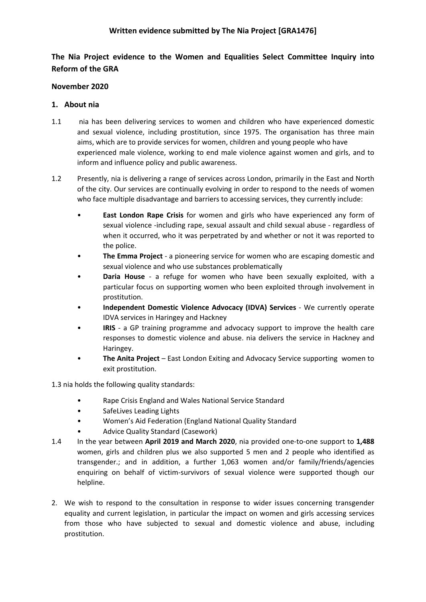# **The Nia Project evidence to the Women and Equalities Select Committee Inquiry into Reform of the GRA**

## **November 2020**

### **1. About nia**

- 1.1 nia has been delivering services to women and children who have experienced domestic and sexual violence, including prostitution, since 1975. The organisation has three main aims, which are to provide services for women, children and young people who have experienced male violence, working to end male violence against women and girls, and to inform and influence policy and public awareness.
- 1.2 Presently, nia is delivering a range of services across London, primarily in the East and North of the city. Our services are continually evolving in order to respond to the needs of women who face multiple disadvantage and barriers to accessing services, they currently include:
	- **East London Rape Crisis** for women and girls who have experienced any form of sexual violence -including rape, sexual assault and child sexual abuse - regardless of when it occurred, who it was perpetrated by and whether or not it was reported to the police.
	- **The Emma Project** a pioneering service for women who are escaping domestic and sexual violence and who use substances problematically
	- **Daria House** a refuge for women who have been sexually exploited, with a particular focus on supporting women who been exploited through involvement in prostitution.
	- **Independent Domestic Violence Advocacy (IDVA) Services** We currently operate IDVA services in Haringey and Hackney
	- **IRIS** a GP training programme and advocacy support to improve the health care responses to domestic violence and abuse. nia delivers the service in Hackney and Haringey.
	- **The Anita Project** East London Exiting and Advocacy Service supporting women to exit prostitution.

1.3 nia holds the following quality standards:

- Rape Crisis England and Wales National Service Standard
- SafeLives Leading Lights
- Women's Aid Federation (England National Quality Standard
- Advice Quality Standard (Casework)
- 1.4 In the year between **April 2019 and March 2020**, nia provided one-to-one support to **1,488** women, girls and children plus we also supported 5 men and 2 people who identified as transgender.; and in addition, a further 1,063 women and/or family/friends/agencies enquiring on behalf of victim-survivors of sexual violence were supported though our helpline.
- 2. We wish to respond to the consultation in response to wider issues concerning transgender equality and current legislation, in particular the impact on women and girls accessing services from those who have subjected to sexual and domestic violence and abuse, including prostitution.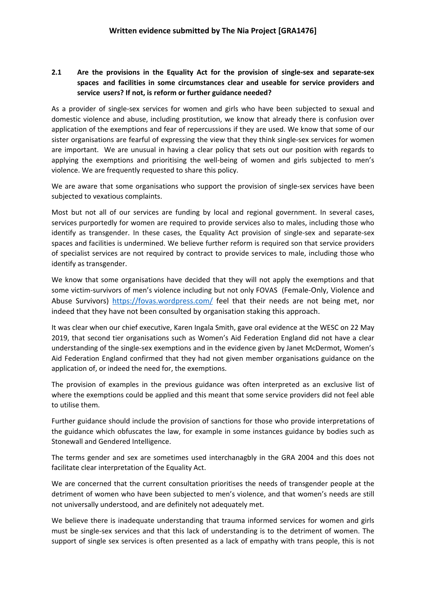## **2.1 Are the provisions in the Equality Act for the provision of single-sex and separate-sex spaces and facilities in some circumstances clear and useable for service providers and service users? If not, is reform or further guidance needed?**

As a provider of single-sex services for women and girls who have been subjected to sexual and domestic violence and abuse, including prostitution, we know that already there is confusion over application of the exemptions and fear of repercussions if they are used. We know that some of our sister organisations are fearful of expressing the view that they think single-sex services for women are important. We are unusual in having a clear policy that sets out our position with regards to applying the exemptions and prioritising the well-being of women and girls subjected to men's violence. We are frequently requested to share this policy.

We are aware that some organisations who support the provision of single-sex services have been subjected to vexatious complaints.

Most but not all of our services are funding by local and regional government. In several cases, services purportedly for women are required to provide services also to males, including those who identify as transgender. In these cases, the Equality Act provision of single-sex and separate-sex spaces and facilities is undermined. We believe further reform is required son that service providers of specialist services are not required by contract to provide services to male, including those who identify as transgender.

We know that some organisations have decided that they will not apply the exemptions and that some victim-survivors of men's violence including but not only FOVAS (Female-Only, Violence and Abuse Survivors) <https://fovas.wordpress.com/> feel that their needs are not being met, nor indeed that they have not been consulted by organisation staking this approach.

It was clear when our chief executive, Karen Ingala Smith, gave oral evidence at the WESC on 22 May 2019, that second tier organisations such as Women's Aid Federation England did not have a clear understanding of the single-sex exemptions and in the evidence given by Janet McDermot, Women's Aid Federation England confirmed that they had not given member organisations guidance on the application of, or indeed the need for, the exemptions.

The provision of examples in the previous guidance was often interpreted as an exclusive list of where the exemptions could be applied and this meant that some service providers did not feel able to utilise them.

Further guidance should include the provision of sanctions for those who provide interpretations of the guidance which obfuscates the law, for example in some instances guidance by bodies such as Stonewall and Gendered Intelligence.

The terms gender and sex are sometimes used interchanagbly in the GRA 2004 and this does not facilitate clear interpretation of the Equality Act.

We are concerned that the current consultation prioritises the needs of transgender people at the detriment of women who have been subjected to men's violence, and that women's needs are still not universally understood, and are definitely not adequately met.

We believe there is inadequate understanding that trauma informed services for women and girls must be single-sex services and that this lack of understanding is to the detriment of women. The support of single sex services is often presented as a lack of empathy with trans people, this is not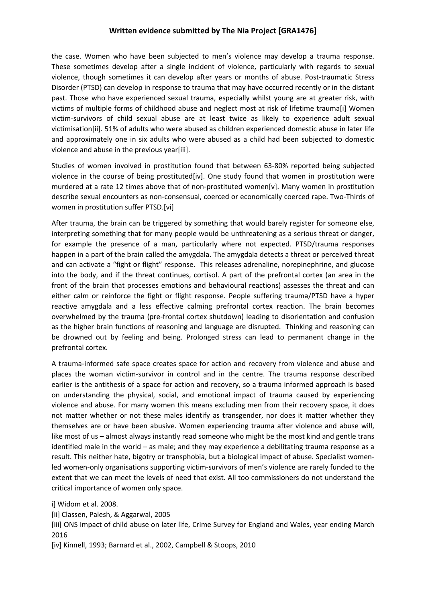#### **Written evidence submitted by The Nia Project [GRA1476]**

the case. Women who have been subjected to men's violence may develop a trauma response. These sometimes develop after a single incident of violence, particularly with regards to sexual violence, though sometimes it can develop after years or months of abuse. Post-traumatic Stress Disorder (PTSD) can develop in response to trauma that may have occurred recently or in the distant past. Those who have experienced sexual trauma, especially whilst young are at greater risk, with victims of multiple forms of childhood abuse and neglect most at risk of lifetime trauma[i] Women victim-survivors of child sexual abuse are at least twice as likely to experience adult sexual victimisation[ii]. 51% of adults who were abused as children experienced domestic abuse in later life and approximately one in six adults who were abused as a child had been subjected to domestic violence and abuse in the previous year[iii].

Studies of women involved in prostitution found that between 63-80% reported being subjected violence in the course of being prostituted[iv]. One study found that women in prostitution were murdered at a rate 12 times above that of non-prostituted women[v]. Many women in prostitution describe sexual encounters as non-consensual, coerced or economically coerced rape. Two-Thirds of women in prostitution suffer PTSD.[vi]

After trauma, the brain can be triggered by something that would barely register for someone else, interpreting something that for many people would be unthreatening as a serious threat or danger, for example the presence of a man, particularly where not expected. PTSD/trauma responses happen in a part of the brain called the amygdala. The amygdala detects a threat or perceived threat and can activate a "fight or flight" response. This releases adrenaline, norepinephrine, and glucose into the body, and if the threat continues, cortisol. A part of the prefrontal cortex (an area in the front of the brain that processes emotions and behavioural reactions) assesses the threat and can either calm or reinforce the fight or flight response. People suffering trauma/PTSD have a hyper reactive amygdala and a less effective calming prefrontal cortex reaction. The brain becomes overwhelmed by the trauma (pre-frontal cortex shutdown) leading to disorientation and confusion as the higher brain functions of reasoning and language are disrupted. Thinking and reasoning can be drowned out by feeling and being. Prolonged stress can lead to permanent change in the prefrontal cortex.

A trauma-informed safe space creates space for action and recovery from violence and abuse and places the woman victim-survivor in control and in the centre. The trauma response described earlier is the antithesis of a space for action and recovery, so a trauma informed approach is based on understanding the physical, social, and emotional impact of trauma caused by experiencing violence and abuse. For many women this means excluding men from their recovery space, it does not matter whether or not these males identify as transgender, nor does it matter whether they themselves are or have been abusive. Women experiencing trauma after violence and abuse will, like most of us – almost always instantly read someone who might be the most kind and gentle trans identified male in the world – as male; and they may experience a debilitating trauma response as a result. This neither hate, bigotry or transphobia, but a biological impact of abuse. Specialist womenled women-only organisations supporting victim-survivors of men's violence are rarely funded to the extent that we can meet the levels of need that exist. All too commissioners do not understand the critical importance of women only space.

i] Widom et al. 2008.

[ii] Classen, Palesh, & Aggarwal, 2005

[iii] ONS Impact of child abuse on later life, Crime Survey for England and Wales, year ending March 2016

[iv] Kinnell, 1993; Barnard et al., 2002, Campbell & Stoops, 2010